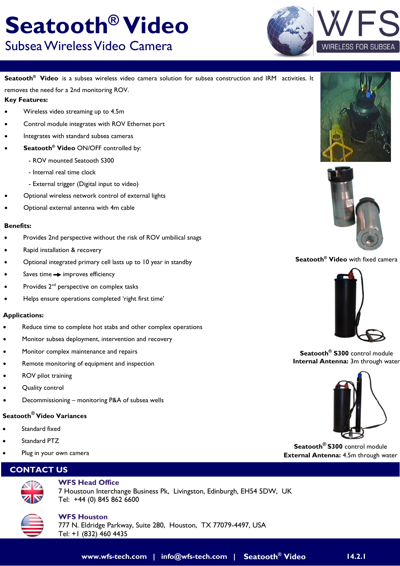#### **www.wfs-tech.com | info@wfs-tech.com | Seatooth® Video 14.2.1**

## **Seatooth® Video** Subsea Wireless Video Camera

**Seatooth® Video** is a subsea wireless video camera solution for subsea construction and IRM activities. It removes the need for a 2nd monitoring ROV.

#### **Key Features:**

- Wireless video streaming up to 4.5m
- Control module integrates with ROV Ethernet port
- Integrates with standard subsea cameras
- **Seatooth® Video** ON/OFF controlled by:
	- ROV mounted Seatooth S300
	- Internal real time clock
	- External trigger (Digital input to video)
- Optional wireless network control of external lights
- Optional external antenna with 4m cable

#### **Benefits:**

- Provides 2nd perspective without the risk of ROV umbilical snags
- Rapid installation & recovery
- Optional integrated primary cell lasts up to 10 year in standby
- Saves time  $\rightarrow$  improves efficiency
- Provides 2<sup>nd</sup> perspective on complex tasks
- Helps ensure operations completed 'right first time'

#### **Applications:**

- Reduce time to complete hot stabs and other complex operations
- Monitor subsea deployment, intervention and recovery
- Monitor complex maintenance and repairs
- Remote monitoring of equipment and inspection
- ROV pilot training
- Quality control
- Decommissioning monitoring P&A of subsea wells

#### **Seatooth® Video Variances**

- Standard fixed
- Standard PTZ
- Plug in your own camera

#### **CONTACT US**



#### **WFS Head Office** 7 Houstoun Interchange Business Pk, Livingston, Edinburgh, EH54 5DW, UK Tel: +44 (0) 845 862 6600









#### **Seatooth® Video** with fixed camera



**Seatooth® S300** control module **Internal Antenna:** 3m through water



**Seatooth® S300** control module **External Antenna:** 4.5m through water